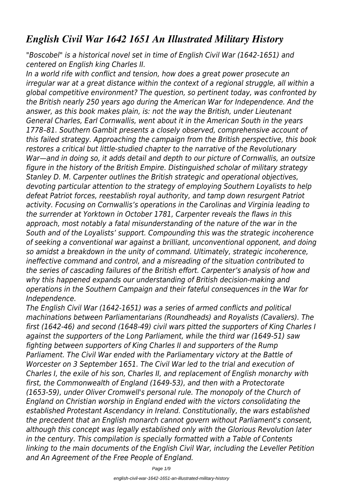## *English Civil War 1642 1651 An Illustrated Military History*

*"Boscobel" is a historical novel set in time of English Civil War (1642-1651) and centered on English king Charles II.*

*In a world rife with conflict and tension, how does a great power prosecute an irregular war at a great distance within the context of a regional struggle, all within a global competitive environment? The question, so pertinent today, was confronted by the British nearly 250 years ago during the American War for Independence. And the answer, as this book makes plain, is: not the way the British, under Lieutenant General Charles, Earl Cornwallis, went about it in the American South in the years 1778–81. Southern Gambit presents a closely observed, comprehensive account of this failed strategy. Approaching the campaign from the British perspective, this book restores a critical but little-studied chapter to the narrative of the Revolutionary War—and in doing so, it adds detail and depth to our picture of Cornwallis, an outsize figure in the history of the British Empire. Distinguished scholar of military strategy Stanley D. M. Carpenter outlines the British strategic and operational objectives, devoting particular attention to the strategy of employing Southern Loyalists to help defeat Patriot forces, reestablish royal authority, and tamp down resurgent Patriot activity. Focusing on Cornwallis's operations in the Carolinas and Virginia leading to the surrender at Yorktown in October 1781, Carpenter reveals the flaws in this approach, most notably a fatal misunderstanding of the nature of the war in the South and of the Loyalists' support. Compounding this was the strategic incoherence of seeking a conventional war against a brilliant, unconventional opponent, and doing so amidst a breakdown in the unity of command. Ultimately, strategic incoherence, ineffective command and control, and a misreading of the situation contributed to the series of cascading failures of the British effort. Carpenter's analysis of how and why this happened expands our understanding of British decision-making and operations in the Southern Campaign and their fateful consequences in the War for Independence.*

*The English Civil War (1642-1651) was a series of armed conflicts and political machinations between Parliamentarians (Roundheads) and Royalists (Cavaliers). The first (1642-46) and second (1648-49) civil wars pitted the supporters of King Charles I against the supporters of the Long Parliament, while the third war (1649-51) saw fighting between supporters of King Charles II and supporters of the Rump Parliament. The Civil War ended with the Parliamentary victory at the Battle of Worcester on 3 September 1651. The Civil War led to the trial and execution of Charles I, the exile of his son, Charles II, and replacement of English monarchy with first, the Commonwealth of England (1649-53), and then with a Protectorate (1653-59), under Oliver Cromwell's personal rule. The monopoly of the Church of England on Christian worship in England ended with the victors consolidating the established Protestant Ascendancy in Ireland. Constitutionally, the wars established the precedent that an English monarch cannot govern without Parliament's consent, although this concept was legally established only with the Glorious Revolution later in the century. This compilation is specially formatted with a Table of Contents linking to the main documents of the English Civil War, including the Leveller Petition and An Agreement of the Free People of England.*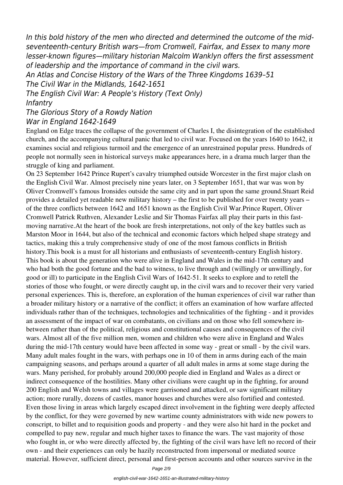*In this bold history of the men who directed and determined the outcome of the midseventeenth-century British wars—from Cromwell, Fairfax, and Essex to many more lesser-known figures—military historian Malcolm Wanklyn offers the first assessment of leadership and the importance of command in the civil wars.*

*An Atlas and Concise History of the Wars of the Three Kingdoms 1639–51 The Civil War in the Midlands, 1642-1651*

*The English Civil War: A People's History (Text Only)*

## *Infantry*

*The Glorious Story of a Rowdy Nation War in England 1642-1649*

England on Edge traces the collapse of the government of Charles I, the disintegration of the established church, and the accompanying cultural panic that led to civil war. Focused on the years 1640 to 1642, it examines social and religious turmoil and the emergence of an unrestrained popular press. Hundreds of people not normally seen in historical surveys make appearances here, in a drama much larger than the struggle of king and parliament.

On 23 September 1642 Prince Rupert's cavalry triumphed outside Worcester in the first major clash on the English Civil War. Almost precisely nine years later, on 3 September 1651, that war was won by Oliver Cromwell's famous Ironsides outside the same city and in part upon the same ground.Stuart Reid provides a detailed yet readable new military history – the first to be published for over twenty years – of the three conflicts between 1642 and 1651 known as the English Civil War.Prince Rupert, Oliver Cromwell Patrick Ruthven, Alexander Leslie and Sir Thomas Fairfax all play their parts in this fastmoving narrative.At the heart of the book are fresh interpretations, not only of the key battles such as Marston Moor in 1644, but also of the technical and economic factors which helped shape strategy and tactics, making this a truly comprehensive study of one of the most famous conflicts in British history.This book is a must for all historians and enthusiasts of seventeenth-century English history. This book is about the generation who were alive in England and Wales in the mid-17th century and who had both the good fortune and the bad to witness, to live through and (willingly or unwillingly, for good or ill) to participate in the English Civil Wars of 1642-51. It seeks to explore and to retell the stories of those who fought, or were directly caught up, in the civil wars and to recover their very varied personal experiences. This is, therefore, an exploration of the human experiences of civil war rather than a broader military history or a narrative of the conflict; it offers an examination of how warfare affected individuals rather than of the techniques, technologies and technicalities of the fighting - and it provides an assessment of the impact of war on combatants, on civilians and on those who fell somewhere inbetween rather than of the political, religious and constitutional causes and consequences of the civil wars. Almost all of the five million men, women and children who were alive in England and Wales during the mid-17th century would have been affected in some way - great or small - by the civil wars. Many adult males fought in the wars, with perhaps one in 10 of them in arms during each of the main campaigning seasons, and perhaps around a quarter of all adult males in arms at some stage during the wars. Many perished, for probably around 200,000 people died in England and Wales as a direct or indirect consequence of the hostilities. Many other civilians were caught up in the fighting, for around 200 English and Welsh towns and villages were garrisoned and attacked, or saw significant military action; more rurally, dozens of castles, manor houses and churches were also fortified and contested. Even those living in areas which largely escaped direct involvement in the fighting were deeply affected by the conflict, for they were governed by new wartime county administrators with wide new powers to conscript, to billet and to requisition goods and property - and they were also hit hard in the pocket and compelled to pay new, regular and much higher taxes to finance the wars. The vast majority of those who fought in, or who were directly affected by, the fighting of the civil wars have left no record of their own - and their experiences can only be hazily reconstructed from impersonal or mediated source material. However, sufficient direct, personal and first-person accounts and other sources survive in the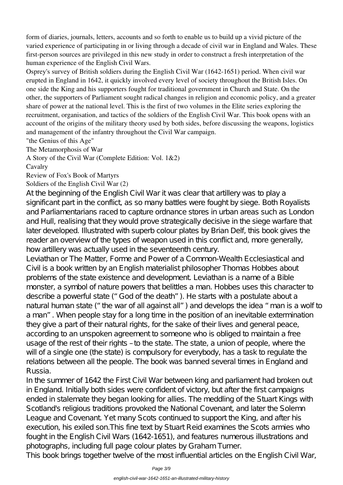form of diaries, journals, letters, accounts and so forth to enable us to build up a vivid picture of the varied experience of participating in or living through a decade of civil war in England and Wales. These first-person sources are privileged in this new study in order to construct a fresh interpretation of the human experience of the English Civil Wars.

Osprey's survey of British soldiers during the English Civil War (1642-1651) period. When civil war erupted in England in 1642, it quickly involved every level of society throughout the British Isles. On one side the King and his supporters fought for traditional government in Church and State. On the other, the supporters of Parliament sought radical changes in religion and economic policy, and a greater share of power at the national level. This is the first of two volumes in the Elite series exploring the recruitment, organisation, and tactics of the soldiers of the English Civil War. This book opens with an account of the origins of the military theory used by both sides, before discussing the weapons, logistics and management of the infantry throughout the Civil War campaign.

"the Genius of this Age"

The Metamorphosis of War

A Story of the Civil War (Complete Edition: Vol. 1&2)

Cavalry

Review of Fox's Book of Martyrs

## Soldiers of the English Civil War (2)

At the beginning of the English Civil War it was clear that artillery was to play a significant part in the conflict, as so many battles were fought by siege. Both Royalists and Parliamentarians raced to capture ordnance stores in urban areas such as London and Hull, realising that they would prove strategically decisive in the siege warfare that later developed. Illustrated with superb colour plates by Brian Delf, this book gives the reader an overview of the types of weapon used in this conflict and, more generally, how artillery was actually used in the seventeenth century.

Leviathan or The Matter, Forme and Power of a Common-Wealth Ecclesiastical and Civil is a book written by an English materialist philosopher Thomas Hobbes about problems of the state existence and development. Leviathan is a name of a Bible monster, a symbol of nature powers that belittles a man. Hobbes uses this character to describe a powerful state ("God of the death"). He starts with a postulate about a natural human state ("the war of all against all") and develops the idea "man is a wolf to a man". When people stay for a long time in the position of an inevitable extermination they give a part of their natural rights, for the sake of their lives and general peace, according to an unspoken agreement to someone who is obliged to maintain a free usage of the rest of their rights – to the state. The state, a union of people, where the will of a single one (the state) is compulsory for everybody, has a task to regulate the relations between all the people. The book was banned several times in England and Russia.

In the summer of 1642 the First Civil War between king and parliament had broken out in England. Initially both sides were confident of victory, but after the first campaigns ended in stalemate they began looking for allies. The meddling of the Stuart Kings with Scotland's religious traditions provoked the National Covenant, and later the Solemn League and Covenant Yetmany Scots continued to support the King, and after his execution, his exiled son.This fine text by Stuart Reid examines the Scots armies who fought in the English Civil Wars (1642-1651), and features numerous illustrations and photographs, including full page colour plates by Graham Turner.

This book brings together twelve of the most influential articles on the English Civil War,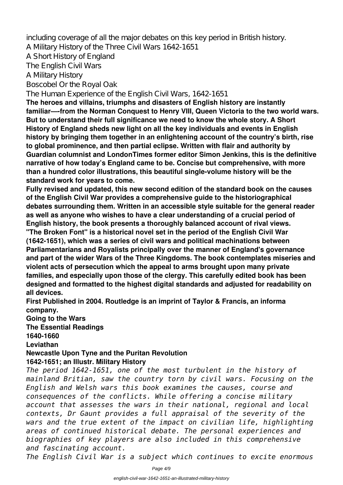including coverage of all the major debates on this key period in British history.

A Military History of the Three Civil Wars 1642-1651

A Short History of England

The English Civil Wars

A Military History

Boscobel Or the Royal Oak

The Human Experience of the English Civil Wars, 1642-1651

**The heroes and villains, triumphs and disasters of English history are instantly familiar—-from the Norman Conquest to Henry VIII, Queen Victoria to the two world wars. But to understand their full significance we need to know the whole story. A Short History of England sheds new light on all the key individuals and events in English history by bringing them together in an enlightening account of the country's birth, rise to global prominence, and then partial eclipse. Written with flair and authority by Guardian columnist and LondonTimes former editor Simon Jenkins, this is the definitive narrative of how today's England came to be. Concise but comprehensive, with more than a hundred color illustrations, this beautiful single-volume history will be the standard work for years to come.**

**Fully revised and updated, this new second edition of the standard book on the causes of the English Civil War provides a comprehensive guide to the historiographical debates surrounding them. Written in an accessible style suitable for the general reader as well as anyone who wishes to have a clear understanding of a crucial period of English history, the book presents a thoroughly balanced account of rival views.**

**"The Broken Font" is a historical novel set in the period of the English Civil War (1642-1651), which was a series of civil wars and political machinations between Parliamentarians and Royalists principally over the manner of England's governance and part of the wider Wars of the Three Kingdoms. The book contemplates miseries and violent acts of persecution which the appeal to arms brought upon many private families, and especially upon those of the clergy. This carefully edited book has been designed and formatted to the highest digital standards and adjusted for readability on all devices.**

**First Published in 2004. Routledge is an imprint of Taylor & Francis, an informa company.**

**Going to the Wars**

**The Essential Readings**

**1640-1660**

**Leviathan**

**Newcastle Upon Tyne and the Puritan Revolution**

## **1642-1651; an Illustr. Military History**

*The period 1642-1651, one of the most turbulent in the history of mainland Britian, saw the country torn by civil wars. Focusing on the English and Welsh wars this book examines the causes, course and consequences of the conflicts. While offering a concise military account that assesses the wars in their national, regional and local contexts, Dr Gaunt provides a full appraisal of the severity of the wars and the true extent of the impact on civilian life, highlighting areas of continued historical debate. The personal experiences and biographies of key players are also included in this comprehensive and fascinating account.*

*The English Civil War is a subject which continues to excite enormous*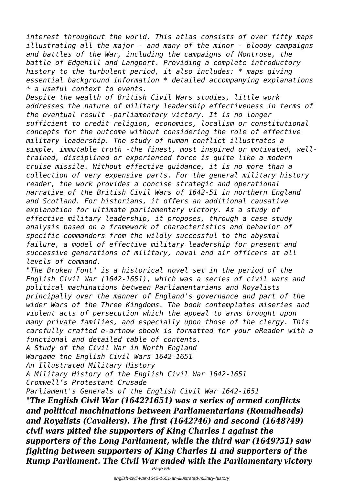*interest throughout the world. This atlas consists of over fifty maps illustrating all the major - and many of the minor - bloody campaigns and battles of the War, including the campaigns of Montrose, the battle of Edgehill and Langport. Providing a complete introductory history to the turbulent period, it also includes: \* maps giving essential background information \* detailed accompanying explanations \* a useful context to events.*

*Despite the wealth of British Civil Wars studies, little work addresses the nature of military leadership effectiveness in terms of the eventual result -parliamentary victory. It is no longer sufficient to credit religion, economics, localism or constitutional concepts for the outcome without considering the role of effective military leadership. The study of human conflict illustrates a simple, immutable truth -the finest, most inspired or motivated, welltrained, disciplined or experienced force is quite like a modern cruise missile. Without effective guidance, it is no more than a collection of very expensive parts. For the general military history reader, the work provides a concise strategic and operational narrative of the British Civil Wars of 1642-51 in northern England and Scotland. For historians, it offers an additional causative explanation for ultimate parliamentary victory. As a study of effective military leadership, it proposes, through a case study analysis based on a framework of characteristics and behavior of specific commanders from the wildly successful to the abysmal failure, a model of effective military leadership for present and successive generations of military, naval and air officers at all levels of command.*

*"The Broken Font" is a historical novel set in the period of the English Civil War (1642-1651), which was a series of civil wars and political machinations between Parliamentarians and Royalists principally over the manner of England's governance and part of the wider Wars of the Three Kingdoms. The book contemplates miseries and violent acts of persecution which the appeal to arms brought upon many private families, and especially upon those of the clergy. This carefully crafted e-artnow ebook is formatted for your eReader with a functional and detailed table of contents.*

*A Study of the Civil War in North England Wargame the English Civil Wars 1642-1651*

*An Illustrated Military History*

*A Military History of the English Civil War 1642-1651 Cromwell's Protestant Crusade*

*Parliament's Generals of the English Civil War 1642-1651*

*"The English Civil War (1642?1651) was a series of armed conflicts and political machinations between Parliamentarians (Roundheads) and Royalists (Cavaliers). The first (1642?46) and second (1648?49) civil wars pitted the supporters of King Charles I against the supporters of the Long Parliament, while the third war (1649?51) saw fighting between supporters of King Charles II and supporters of the Rump Parliament. The Civil War ended with the Parliamentary victory*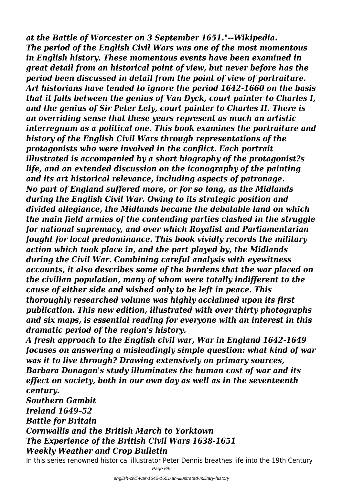*at the Battle of Worcester on 3 September 1651."--Wikipedia. The period of the English Civil Wars was one of the most momentous in English history. These momentous events have been examined in great detail from an historical point of view, but never before has the period been discussed in detail from the point of view of portraiture. Art historians have tended to ignore the period 1642-1660 on the basis that it falls between the genius of Van Dyck, court painter to Charles I, and the genius of Sir Peter Lely, court painter to Charles II. There is an overriding sense that these years represent as much an artistic interregnum as a political one. This book examines the portraiture and history of the English Civil Wars through representations of the protagonists who were involved in the conflict. Each portrait illustrated is accompanied by a short biography of the protagonist?s life, and an extended discussion on the iconography of the painting and its art historical relevance, including aspects of patronage. No part of England suffered more, or for so long, as the Midlands during the English Civil War. Owing to its strategic position and divided allegiance, the Midlands became the debatable land on which the main field armies of the contending parties clashed in the struggle for national supremacy, and over which Royalist and Parliamentarian fought for local predominance. This book vividly records the military action which took place in, and the part played by, the Midlands during the Civil War. Combining careful analysis with eyewitness accounts, it also describes some of the burdens that the war placed on the civilian population, many of whom were totally indifferent to the cause of either side and wished only to be left in peace. This thoroughly researched volume was highly acclaimed upon its first publication. This new edition, illustrated with over thirty photographs and six maps, is essential reading for everyone with an interest in this dramatic period of the region's history.*

*A fresh approach to the English civil war, War in England 1642-1649 focuses on answering a misleadingly simple question: what kind of war was it to live through? Drawing extensively on primary sources, Barbara Donagan's study illuminates the human cost of war and its effect on society, both in our own day as well as in the seventeenth century.*

*Southern Gambit Ireland 1649–52 Battle for Britain Cornwallis and the British March to Yorktown The Experience of the British Civil Wars 1638-1651 Weekly Weather and Crop Bulletin*

In this series renowned historical illustrator Peter Dennis breathes life into the 19th Century

Page 6/9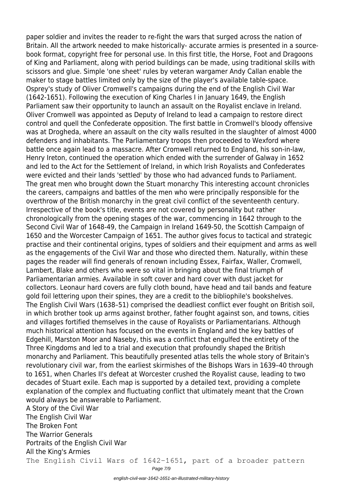paper soldier and invites the reader to re-fight the wars that surged across the nation of Britain. All the artwork needed to make historically- accurate armies is presented in a sourcebook format, copyright free for personal use. In this first title, the Horse, Foot and Dragoons of King and Parliament, along with period buildings can be made, using traditional skills with scissors and glue. Simple 'one sheet' rules by veteran wargamer Andy Callan enable the maker to stage battles limited only by the size of the player's available table-space. Osprey's study of Oliver Cromwell's campaigns during the end of the English Civil War (1642-1651). Following the execution of King Charles I in January 1649, the English Parliament saw their opportunity to launch an assault on the Royalist enclave in Ireland. Oliver Cromwell was appointed as Deputy of Ireland to lead a campaign to restore direct control and quell the Confederate opposition. The first battle in Cromwell's bloody offensive was at Drogheda, where an assault on the city walls resulted in the slaughter of almost 4000 defenders and inhabitants. The Parliamentary troops then proceeded to Wexford where battle once again lead to a massacre. After Cromwell returned to England, his son-in-law, Henry Ireton, continued the operation which ended with the surrender of Galway in 1652 and led to the Act for the Settlement of Ireland, in which Irish Royalists and Confederates were evicted and their lands 'settled' by those who had advanced funds to Parliament. The great men who brought down the Stuart monarchy This interesting account chronicles the careers, campaigns and battles of the men who were principally responsible for the overthrow of the British monarchy in the great civil conflict of the seventeenth century. Irrespective of the book's title, events are not covered by personality but rather chronologically from the opening stages of the war, commencing in 1642 through to the Second Civil War of 1648-49, the Campaign in Ireland 1649-50, the Scottish Campaign of 1650 and the Worcester Campaign of 1651. The author gives focus to tactical and strategic practise and their continental origins, types of soldiers and their equipment and arms as well as the engagements of the Civil War and those who directed them. Naturally, within these pages the reader will find generals of renown including Essex, Fairfax, Waller, Cromwell, Lambert, Blake and others who were so vital in bringing about the final triumph of Parliamentarian armies. Available in soft cover and hard cover with dust jacket for collectors. Leonaur hard covers are fully cloth bound, have head and tail bands and feature gold foil lettering upon their spines, they are a credit to the bibliophile's bookshelves. The English Civil Wars (1638–51) comprised the deadliest conflict ever fought on British soil, in which brother took up arms against brother, father fought against son, and towns, cities and villages fortified themselves in the cause of Royalists or Parliamentarians. Although much historical attention has focused on the events in England and the key battles of Edgehill, Marston Moor and Naseby, this was a conflict that engulfed the entirety of the Three Kingdoms and led to a trial and execution that profoundly shaped the British monarchy and Parliament. This beautifully presented atlas tells the whole story of Britain's revolutionary civil war, from the earliest skirmishes of the Bishops Wars in 1639–40 through to 1651, when Charles II's defeat at Worcester crushed the Royalist cause, leading to two decades of Stuart exile. Each map is supported by a detailed text, providing a complete explanation of the complex and fluctuating conflict that ultimately meant that the Crown would always be answerable to Parliament. A Story of the Civil War The English Civil War The Broken Font The Warrior Generals

Portraits of the English Civil War

All the King's Armies

The English Civil Wars of 1642-1651, part of a broader pattern

Page 7/9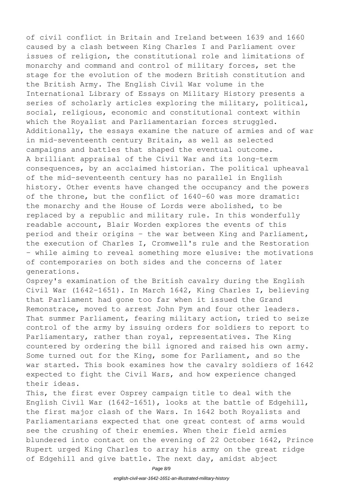of civil conflict in Britain and Ireland between 1639 and 1660 caused by a clash between King Charles I and Parliament over issues of religion, the constitutional role and limitations of monarchy and command and control of military forces, set the stage for the evolution of the modern British constitution and the British Army. The English Civil War volume in the International Library of Essays on Military History presents a series of scholarly articles exploring the military, political, social, religious, economic and constitutional context within which the Royalist and Parliamentarian forces struggled. Additionally, the essays examine the nature of armies and of war in mid-seventeenth century Britain, as well as selected campaigns and battles that shaped the eventual outcome. A brilliant appraisal of the Civil War and its long-term consequences, by an acclaimed historian. The political upheaval of the mid-seventeenth century has no parallel in English history. Other events have changed the occupancy and the powers of the throne, but the conflict of 1640-60 was more dramatic: the monarchy and the House of Lords were abolished, to be replaced by a republic and military rule. In this wonderfully readable account, Blair Worden explores the events of this period and their origins - the war between King and Parliament, the execution of Charles I, Cromwell's rule and the Restoration - while aiming to reveal something more elusive: the motivations of contemporaries on both sides and the concerns of later generations.

Osprey's examination of the British cavalry during the English Civil War (1642-1651). In March 1642, King Charles I, believing that Parliament had gone too far when it issued the Grand Remonstrace, moved to arrest John Pym and four other leaders. That summer Parliament, fearing military action, tried to seize control of the army by issuing orders for soldiers to report to Parliamentary, rather than royal, representatives. The King countered by ordering the bill ignored and raised his own army. Some turned out for the King, some for Parliament, and so the war started. This book examines how the cavalry soldiers of 1642 expected to fight the Civil Wars, and how experience changed their ideas.

This, the first ever Osprey campaign title to deal with the English Civil War (1642-1651), looks at the battle of Edgehill, the first major clash of the Wars. In 1642 both Royalists and Parliamentarians expected that one great contest of arms would see the crushing of their enemies. When their field armies blundered into contact on the evening of 22 October 1642, Prince Rupert urged King Charles to array his army on the great ridge of Edgehill and give battle. The next day, amidst abject